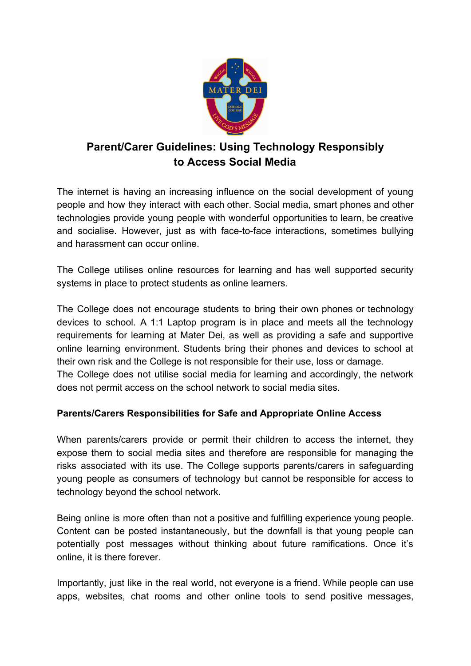

# **Parent/Carer Guidelines: Using Technology Responsibly to Access Social Media**

The internet is having an increasing influence on the social development of young people and how they interact with each other. Social media, smart phones and other technologies provide young people with wonderful opportunities to learn, be creative and socialise. However, just as with face-to-face interactions, sometimes bullying and harassment can occur online.

The College utilises online resources for learning and has well supported security systems in place to protect students as online learners.

The College does not encourage students to bring their own phones or technology devices to school. A 1:1 Laptop program is in place and meets all the technology requirements for learning at Mater Dei, as well as providing a safe and supportive online learning environment. Students bring their phones and devices to school at their own risk and the College is not responsible for their use, loss or damage.

The College does not utilise social media for learning and accordingly, the network does not permit access on the school network to social media sites.

## **Parents/Carers Responsibilities for Safe and Appropriate Online Access**

When parents/carers provide or permit their children to access the internet, they expose them to social media sites and therefore are responsible for managing the risks associated with its use. The College supports parents/carers in safeguarding young people as consumers of technology but cannot be responsible for access to technology beyond the school network.

Being online is more often than not a positive and fulfilling experience young people. Content can be posted instantaneously, but the downfall is that young people can potentially post messages without thinking about future ramifications. Once it's online, it is there forever.

Importantly, just like in the real world, not everyone is a friend. While people can use apps, websites, chat rooms and other online tools to send positive messages,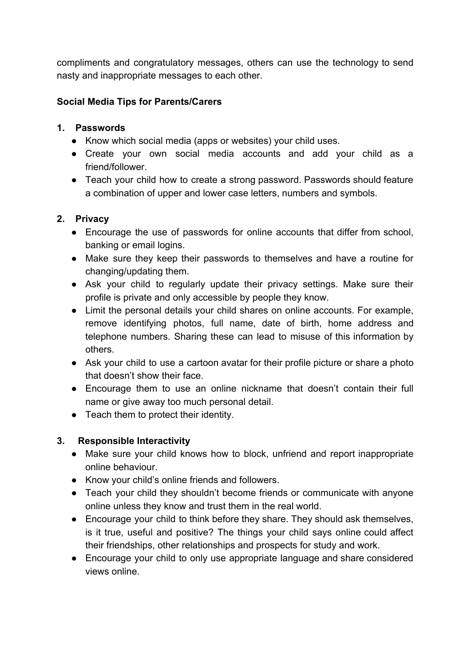compliments and congratulatory messages, others can use the technology to send nasty and inappropriate messages to each other.

### **Social Media Tips for Parents/Carers**

### **1. Passwords**

- Know which social media (apps or websites) your child uses.
- Create your own social media accounts and add your child as a friend/follower.
- Teach your child how to create a strong password. Passwords should feature a combination of upper and lower case letters, numbers and symbols.

## **2. Privacy**

- Encourage the use of passwords for online accounts that differ from school, banking or email logins.
- Make sure they keep their passwords to themselves and have a routine for changing/updating them.
- Ask your child to regularly update their privacy settings. Make sure their profile is private and only accessible by people they know.
- Limit the personal details your child shares on online accounts. For example, remove identifying photos, full name, date of birth, home address and telephone numbers. Sharing these can lead to misuse of this information by others.
- Ask your child to use a cartoon avatar for their profile picture or share a photo that doesn't show their face.
- Encourage them to use an online nickname that doesn't contain their full name or give away too much personal detail.
- Teach them to protect their identity.

## **3. Responsible Interactivity**

- Make sure your child knows how to block, unfriend and report inappropriate online behaviour.
- Know your child's online friends and followers.
- Teach your child they shouldn't become friends or communicate with anyone online unless they know and trust them in the real world.
- Encourage your child to think before they share. They should ask themselves, is it true, useful and positive? The things your child says online could affect their friendships, other relationships and prospects for study and work.
- Encourage your child to only use appropriate language and share considered views online.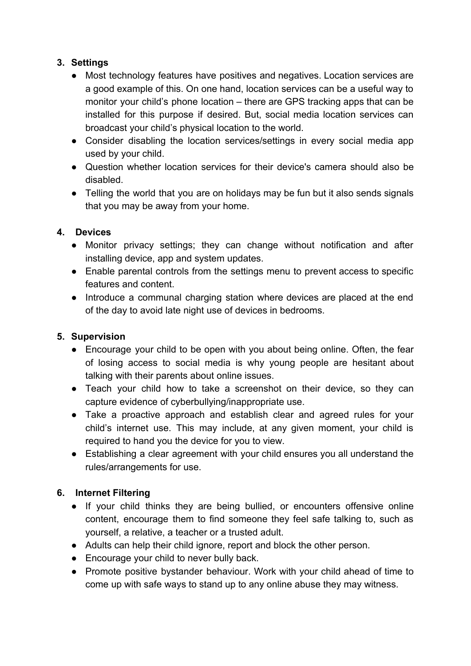## **3. Settings**

- Most technology features have positives and negatives. Location services are a good example of this. On one hand, location services can be a useful way to monitor your child's phone location – there are GPS tracking apps that can be installed for this purpose if desired. But, social media location services can broadcast your child's physical location to the world.
- Consider disabling the location services/settings in every social media app used by your child.
- Question whether location services for their device's camera should also be disabled.
- Telling the world that you are on holidays may be fun but it also sends signals that you may be away from your home.

## **4. Devices**

- Monitor privacy settings; they can change without notification and after installing device, app and system updates.
- Enable parental controls from the settings menu to prevent access to specific features and content.
- Introduce a communal charging station where devices are placed at the end of the day to avoid late night use of devices in bedrooms.

## **5. Supervision**

- Encourage your child to be open with you about being online. Often, the fear of losing access to social media is why young people are hesitant about talking with their parents about online issues.
- Teach your child how to take a screenshot on their device, so they can capture evidence of cyberbullying/inappropriate use.
- Take a proactive approach and establish clear and agreed rules for your child's internet use. This may include, at any given moment, your child is required to hand you the device for you to view.
- Establishing a clear agreement with your child ensures you all understand the rules/arrangements for use.

## **6. Internet Filtering**

- If your child thinks they are being bullied, or encounters offensive online content, encourage them to find someone they feel safe talking to, such as yourself, a relative, a teacher or a trusted adult.
- Adults can help their child ignore, report and block the other person.
- Encourage your child to never bully back.
- Promote positive bystander behaviour. Work with your child ahead of time to come up with safe ways to stand up to any online abuse they may witness.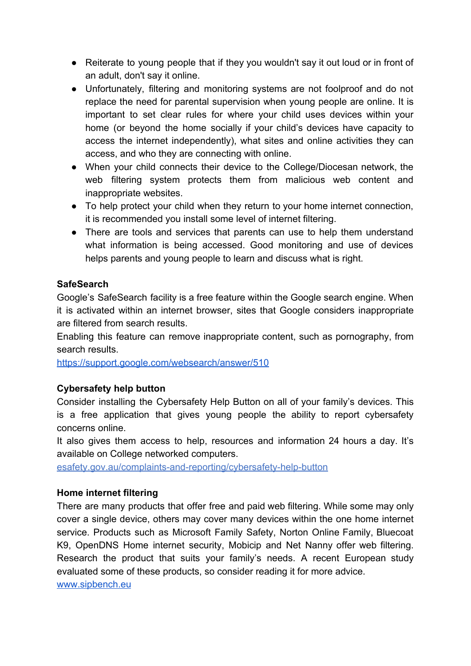- Reiterate to young people that if they you wouldn't say it out loud or in front of an adult, don't say it online.
- Unfortunately, filtering and monitoring systems are not foolproof and do not replace the need for parental supervision when young people are online. It is important to set clear rules for where your child uses devices within your home (or beyond the home socially if your child's devices have capacity to access the internet independently), what sites and online activities they can access, and who they are connecting with online.
- When your child connects their device to the College/Diocesan network, the web filtering system protects them from malicious web content and inappropriate websites.
- To help protect your child when they return to your home internet connection, it is recommended you install some level of internet filtering.
- There are tools and services that parents can use to help them understand what information is being accessed. Good monitoring and use of devices helps parents and young people to learn and discuss what is right.

### **SafeSearch**

Google's SafeSearch facility is a free feature within the Google search engine. When it is activated within an internet browser, sites that Google considers inappropriate are filtered from search results.

Enabling this feature can remove inappropriate content, such as pornography, from search results.

<https://support.google.com/websearch/answer/510>

### **Cybersafety help button**

Consider installing the Cybersafety Help Button on all of your family's devices. This is a free application that gives young people the ability to report cybersafety concerns online.

It also gives them access to help, resources and information 24 hours a day. It's available on College networked computers.

esafety.gov.au/complaints-and-reporting/cybersafety-help-button

### **Home internet filtering**

There are many products that offer free and paid web filtering. While some may only cover a single device, others may cover many devices within the one home internet service. Products such as Microsoft Family Safety, Norton Online Family, Bluecoat K9, OpenDNS Home internet security, Mobicip and Net Nanny offer web filtering. Research the product that suits your family's needs. A recent European study evaluated some of these products, so consider reading it for more advice. [www.sipbench.eu](http://www.sipbench.eu/)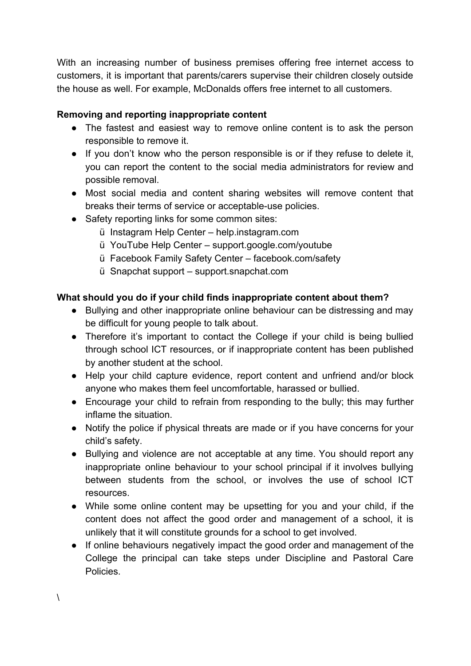With an increasing number of business premises offering free internet access to customers, it is important that parents/carers supervise their children closely outside the house as well. For example, McDonalds offers free internet to all customers.

## **Removing and reporting inappropriate content**

- The fastest and easiest way to remove online content is to ask the person responsible to remove it.
- If you don't know who the person responsible is or if they refuse to delete it, you can report the content to the social media administrators for review and possible removal.
- Most social media and content sharing websites will remove content that breaks their terms of service or acceptable-use policies.
- Safety reporting links for some common sites:
	- ü Instagram Help Center help.instagram.com
	- ü YouTube Help Center support.google.com/youtube
	- ü Facebook Family Safety Center facebook.com/safety
	- ü Snapchat support support.snapchat.com

## **What should you do if your child finds inappropriate content about them?**

- Bullying and other inappropriate online behaviour can be distressing and may be difficult for young people to talk about.
- Therefore it's important to contact the College if your child is being bullied through school ICT resources, or if inappropriate content has been published by another student at the school.
- Help your child capture evidence, report content and unfriend and/or block anyone who makes them feel uncomfortable, harassed or bullied.
- Encourage your child to refrain from responding to the bully; this may further inflame the situation.
- Notify the police if physical threats are made or if you have concerns for your child's safety.
- Bullying and violence are not acceptable at any time. You should report any inappropriate online behaviour to your school principal if it involves bullying between students from the school, or involves the use of school ICT resources.
- While some online content may be upsetting for you and your child, if the content does not affect the good order and management of a school, it is unlikely that it will constitute grounds for a school to get involved.
- If online behaviours negatively impact the good order and management of the College the principal can take steps under Discipline and Pastoral Care Policies.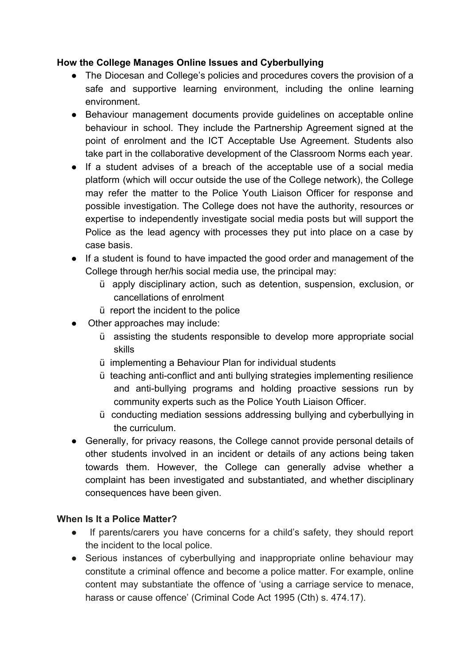### **How the College Manages Online Issues and Cyberbullying**

- The Diocesan and College's policies and procedures covers the provision of a safe and supportive learning environment, including the online learning environment.
- Behaviour management documents provide guidelines on acceptable online behaviour in school. They include the Partnership Agreement signed at the point of enrolment and the ICT Acceptable Use Agreement. Students also take part in the collaborative development of the Classroom Norms each year.
- If a student advises of a breach of the acceptable use of a social media platform (which will occur outside the use of the College network), the College may refer the matter to the Police Youth Liaison Officer for response and possible investigation. The College does not have the authority, resources or expertise to independently investigate social media posts but will support the Police as the lead agency with processes they put into place on a case by case basis.
- If a student is found to have impacted the good order and management of the College through her/his social media use, the principal may:
	- ü apply disciplinary action, such as detention, suspension, exclusion, or cancellations of enrolment
	- ü report the incident to the police
- Other approaches may include:
	- ü assisting the students responsible to develop more appropriate social skills
	- ü implementing a Behaviour Plan for individual students
	- ü teaching anti-conflict and anti bullying strategies implementing resilience and anti-bullying programs and holding proactive sessions run by community experts such as the Police Youth Liaison Officer.
	- ü conducting mediation sessions addressing bullying and cyberbullying in the curriculum.
- Generally, for privacy reasons, the College cannot provide personal details of other students involved in an incident or details of any actions being taken towards them. However, the College can generally advise whether a complaint has been investigated and substantiated, and whether disciplinary consequences have been given.

### **When Is It a Police Matter?**

- If parents/carers you have concerns for a child's safety, they should report the incident to the local police.
- Serious instances of cyberbullying and inappropriate online behaviour may constitute a criminal offence and become a police matter. For example, online content may substantiate the offence of 'using a carriage service to menace, harass or cause offence' (Criminal Code Act 1995 (Cth) s. 474.17).